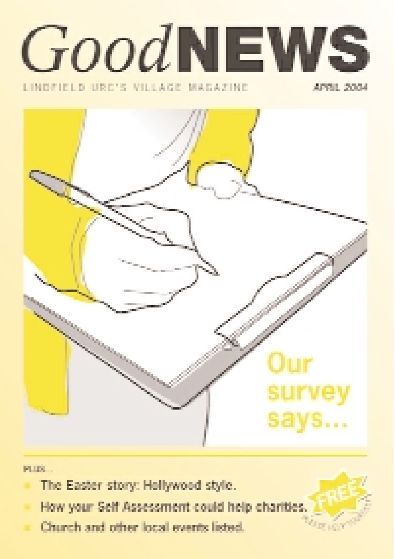

#### LINDFIELD URC'S VILLAGE MAGAZINE

APRIL 2004



**FLUX** 

- The Easter story: Hollywood style.
- How your Self Assessment could help charities
- Church and other local events listed.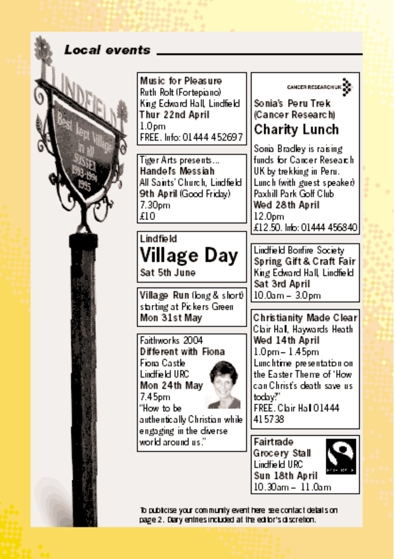### Local events

Music for Pleasure Ruth Rolt (Fortepiano) King Edward Hall, Lindfield, Thur 22nd April  $1.0<sub>nm</sub>$ FREE. Info: 01444 452697

Tiger Arts presents... Handels Messiah All Saints' Church, Lindfield. 9th April (Good Friday)  $7.30<sub>pm</sub>$ £10

## Lindfield Village Day Sat 5th June

Village Run (long & short) starting at Pickers Green Mon 31st Mav

Faithworks 2004 Different with Fiona Fiora Castle Lindfield URC Mon 24th May 7.45pm "How to be authentically Christian while

engaging in the diverse world around us."



### Sonia's Peru Trek Cancer Research) Charity Lunch

Sonia Bradley is raising funds for Cancer Research UK by trekking in Peru. Lunch (with guest speaker) Paxhill Park Golf Club. Wed 28th April  $12.0<sub>pm</sub>$ £12.50. Info: 01444 456840

Lindfield Borifire Society Spring Gift & Craft Fair King Edward Hall, Lindfield Sat 3rd April  $10.0$ am -  $3.0$ pm

Christianity Made Clear Clair Hall, Haywards Heath Wed 14th April  $1.0<sub>pm</sub> - 1.45<sub>pm</sub>$ Lunchtime presentation on the Easter Therre of 'How can Christ's death save us. today?" FREE. Clair Hall 01444 415738

Fairtrade Grocery Stall Lindfield URC Sun 18th April 10.30am - 11.0am



To publicise your community event here see contact details on page 2. Diary entries included at the editor's discretion.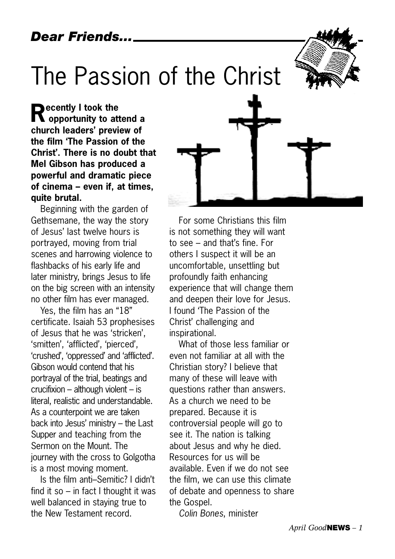## The Passion of the Christ

**Recently I took the opportunity to attend a church leaders' preview of the film 'The Passion of the Christ'. There is no doubt that Mel Gibson has produced a powerful and dramatic piece of cinema – even if, at times, quite brutal.** 

Beginning with the garden of Gethsemane, the way the story of Jesus' last twelve hours is portrayed, moving from trial scenes and harrowing violence to flashbacks of his early life and later ministry, brings Jesus to life on the big screen with an intensity no other film has ever managed.

Yes, the film has an "18" certificate. Isaiah 53 prophesises of Jesus that he was 'stricken', 'smitten', 'afflicted', 'pierced', 'crushed', 'oppressed' and 'afflicted'. Gibson would contend that his portrayal of the trial, beatings and crucifixion – although violent – is literal, realistic and understandable. As a counterpoint we are taken back into Jesus' ministry – the Last Supper and teaching from the Sermon on the Mount. The journey with the cross to Golgotha is a most moving moment.

Is the film anti–Semitic? I didn't find it so – in fact I thought it was well balanced in staying true to the New Testament record.



For some Christians this film is not something they will want to see – and that's fine. For others I suspect it will be an uncomfortable, unsettling but profoundly faith enhancing experience that will change them and deepen their love for Jesus. I found 'The Passion of the Christ' challenging and inspirational.

What of those less familiar or even not familiar at all with the Christian story? I believe that many of these will leave with questions rather than answers. As a church we need to be prepared. Because it is controversial people will go to see it. The nation is talking about Jesus and why he died. Resources for us will be available. Even if we do not see the film, we can use this climate of debate and openness to share the Gospel.

*Colin Bones*, minister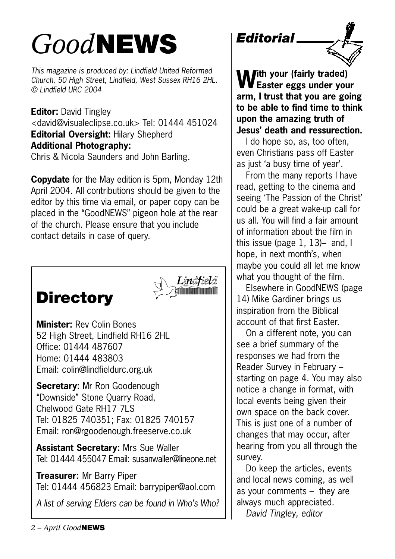## *Good***NEWS** *Editorial*

*This magazine is produced by: Lindfield United Reformed Church, 50 High Street, Lindfield, West Sussex RH16 2HL. © Lindfield URC 2004*

**Editor:** David Tingley <david@visualeclipse.co.uk> Tel: 01444 451024 **Editorial Oversight:** Hilary Shepherd **Additional Photography:** Chris & Nicola Saunders and John Barling.

**Copydate** for the May edition is 5pm, Monday 12th April 2004. All contributions should be given to the editor by this time via email, or paper copy can be placed in the "GoodNEWS" pigeon hole at the rear of the church. Please ensure that you include contact details in case of query.





**Minister:** Rev Colin Bones 52 High Street, Lindfield RH16 2HL Office: 01444 487607 Home: 01444 483803 Email: colin@lindfieldurc.org.uk

**Secretary:** Mr Ron Goodenough "Downside" Stone Quarry Road, Chelwood Gate RH17 7LS Tel: 01825 740351; Fax: 01825 740157 Email: ron@rgoodenough.freeserve.co.uk

**Assistant Secretary:** Mrs Sue Waller Tel: 01444 455047 Email: susanwaller@lineone.net

**Treasurer:** Mr Barry Piper Tel: 01444 456823 Email: barrypiper@aol.com

*A list of serving Elders can be found in Who's Who?*



**With your (fairly traded) Easter eggs under your arm, I trust that you are going to be able to find time to think upon the amazing truth of Jesus' death and ressurection.** 

I do hope so, as, too often. even Christians pass off Easter as just 'a busy time of year'.

From the many reports I have read, getting to the cinema and seeing 'The Passion of the Christ' could be a great wake-up call for us all. You will find a fair amount of information about the film in this issue (page 1, 13)– and, I hope, in next month's, when maybe you could all let me know what you thought of the film.

Elsewhere in GoodNEWS (page 14) Mike Gardiner brings us inspiration from the Biblical account of that first Easter.

On a different note, you can see a brief summary of the responses we had from the Reader Survey in February – starting on page 4. You may also notice a change in format, with local events being given their own space on the back cover. This is just one of a number of changes that may occur, after hearing from you all through the survey.

Do keep the articles, events and local news coming, as well as your comments – they are always much appreciated. *David Tingley, editor*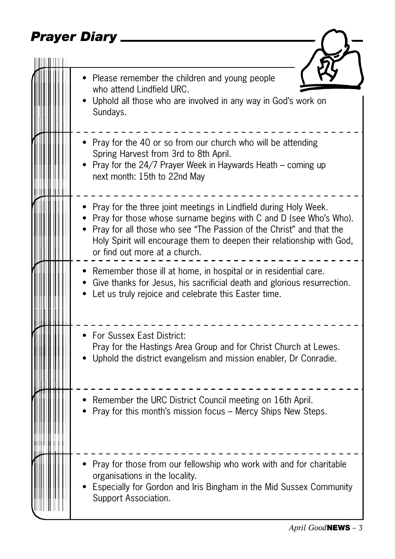## *Prayer Diary*

|  | Please remember the children and young people<br>who attend Lindfield URC.<br>Uphold all those who are involved in any way in God's work on<br>Sundays.                                                                                                                                                                 |
|--|-------------------------------------------------------------------------------------------------------------------------------------------------------------------------------------------------------------------------------------------------------------------------------------------------------------------------|
|  | Pray for the 40 or so from our church who will be attending<br>Spring Harvest from 3rd to 8th April.<br>Pray for the 24/7 Prayer Week in Haywards Heath – coming up<br>next month: 15th to 22nd May                                                                                                                     |
|  | Pray for the three joint meetings in Lindfield during Holy Week.<br>Pray for those whose surname begins with C and D (see Who's Who).<br>Pray for all those who see "The Passion of the Christ" and that the<br>Holy Spirit will encourage them to deepen their relationship with God,<br>or find out more at a church. |
|  | • Remember those ill at home, in hospital or in residential care.<br>Give thanks for Jesus, his sacrificial death and glorious resurrection.<br>Let us truly rejoice and celebrate this Easter time.                                                                                                                    |
|  | <b>For Sussex East District:</b><br>Pray for the Hastings Area Group and for Christ Church at Lewes.<br>Uphold the district evangelism and mission enabler, Dr Conradie.                                                                                                                                                |
|  | Remember the URC District Council meeting on 16th April.<br>Pray for this month's mission focus - Mercy Ships New Steps.                                                                                                                                                                                                |
|  | Pray for those from our fellowship who work with and for charitable<br>organisations in the locality.<br>Especially for Gordon and Iris Bingham in the Mid Sussex Community<br>Support Association.                                                                                                                     |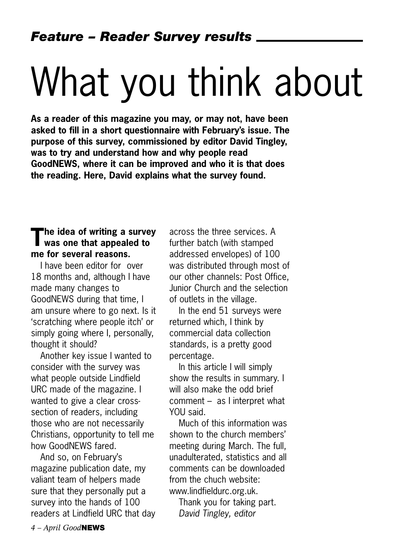# What you think about

**As a reader of this magazine you may, or may not, have been asked to fill in a short questionnaire with February's issue. The purpose of this survey, commissioned by editor David Tingley, was to try and understand how and why people read GoodNEWS, where it can be improved and who it is that does the reading. Here, David explains what the survey found.**

## **The idea of writing a survey was one that appealed to me for several reasons.**

I have been editor for over 18 months and, although I have made many changes to GoodNEWS during that time, I am unsure where to go next. Is it 'scratching where people itch' or simply going where I, personally, thought it should?

Another key issue I wanted to consider with the survey was what people outside Lindfield URC made of the magazine. I wanted to give a clear crosssection of readers, including those who are not necessarily Christians, opportunity to tell me how GoodNEWS fared.

And so, on February's magazine publication date, my valiant team of helpers made sure that they personally put a survey into the hands of 100 readers at Lindfield URC that day

across the three services. A further batch (with stamped addressed envelopes) of 100 was distributed through most of our other channels: Post Office, Junior Church and the selection of outlets in the village.

In the end 51 surveys were returned which, I think by commercial data collection standards, is a pretty good percentage.

In this article I will simply show the results in summary. I will also make the odd brief comment – as I interpret what YOU said.

Much of this information was shown to the church members' meeting during March. The full, unadulterated, statistics and all comments can be downloaded from the chuch website: www.lindfieldurc.org.uk.

Thank you for taking part. *David Tingley, editor*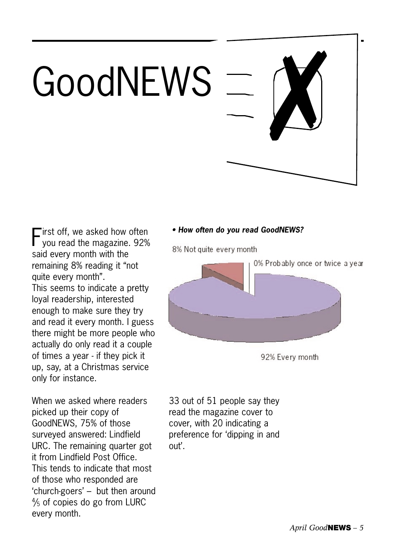# GoodNEWS



First off, we asked how often<br>you read the magazine. 92% said every month with the remaining 8% reading it "not quite every month". This seems to indicate a pretty loyal readership, interested enough to make sure they try and read it every month. I guess there might be more people who actually do only read it a couple of times a year - if they pick it up, say, at a Christmas service only for instance.

When we asked where readers picked up their copy of GoodNEWS, 75% of those surveyed answered: Lindfield URC. The remaining quarter got it from Lindfield Post Office. This tends to indicate that most of those who responded are 'church-goers' – but then around 4 /5 of copies do go from LURC every month.

#### *• How often do you read GoodNEWS?*

8% Not quite every month



33 out of 51 people say they read the magazine cover to cover, with 20 indicating a preference for 'dipping in and out'.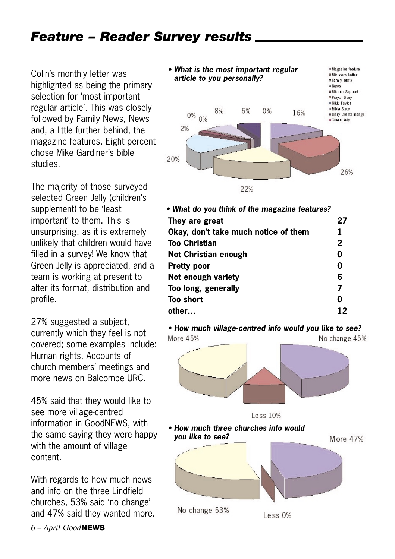## *Feature – Reader Survey results*

Colin's monthly letter was highlighted as being the primary selection for 'most important regular article'. This was closely followed by Family News, News and, a little further behind, the magazine features. Eight percent chose Mike Gardiner's bible studies.

The majority of those surveyed selected Green Jelly (children's supplement) to be 'least important' to them. This is unsurprising, as it is extremely unlikely that children would have filled in a survey! We know that Green Jelly is appreciated, and a team is working at present to alter its format, distribution and profile.

27% suggested a subject, currently which they feel is not covered; some examples include: Human rights, Accounts of church members' meetings and more news on Balcombe URC.

45% said that they would like to see more village-centred information in GoodNEWS, with the same saying they were happy with the amount of village content.

With regards to how much news and info on the three Lindfield churches, 53% said 'no change' and 47% said they wanted more.

*6 – April Good***NEWS**



| • What do you think of the magazine features? |              |
|-----------------------------------------------|--------------|
| They are great                                | 27           |
| Okay, don't take much notice of them          | 1            |
| <b>Too Christian</b>                          | $\mathbf{2}$ |
| Not Christian enough                          | 0            |
| <b>Pretty poor</b>                            | 0            |
| Not enough variety                            | 6            |
| Too long, generally                           | 7            |
| <b>Too short</b>                              | Ω            |
| other                                         |              |
|                                               |              |

*• How much village-centred info would you like to see?* More 45% No change 45%





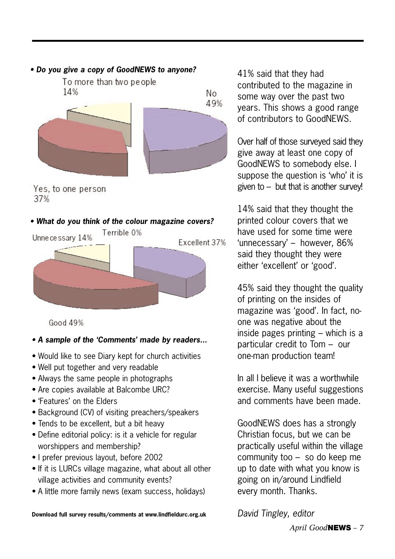#### *• Do you give a copy of GoodNEWS to anyone?*



Yes, to one person 37%

#### *• What do you think of the colour magazine covers?*



Good 49%

#### *• A sample of the 'Comments' made by readers...*

- Would like to see Diary kept for church activities
- Well put together and very readable
- Always the same people in photographs
- Are copies available at Balcombe URC?
- 'Features' on the Elders
- Background (CV) of visiting preachers/speakers
- Tends to be excellent, but a bit heavy
- Define editorial policy: is it a vehicle for regular worshippers and membership?
- I prefer previous layout, before 2002
- If it is LURCs village magazine, what about all other village activities and community events?
- A little more family news (exam success, holidays)

41% said that they had contributed to the magazine in some way over the past two years. This shows a good range of contributors to GoodNEWS.

Over half of those surveyed said they give away at least one copy of GoodNEWS to somebody else. I suppose the question is 'who' it is given to – but that is another survey!

14% said that they thought the printed colour covers that we have used for some time were 'unnecessary' – however, 86% said they thought they were either 'excellent' or 'good'.

45% said they thought the quality of printing on the insides of magazine was 'good'. In fact, noone was negative about the inside pages printing – which is a particular credit to Tom – our one-man production team!

In all I believe it was a worthwhile exercise. Many useful suggestions and comments have been made.

GoodNEWS does has a strongly Christian focus, but we can be practically useful within the village community too – so do keep me up to date with what you know is going on in/around Lindfield every month. Thanks.

**Download full survey results/comments at www.lindfieldurc.org.uk**

*David Tingley, editor*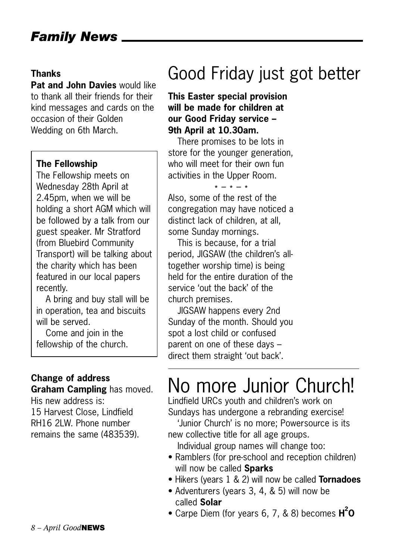#### **Thanks**

**Pat and John Davies** would like to thank all their friends for their kind messages and cards on the occasion of their Golden Wedding on 6th March.

#### **The Fellowship**

The Fellowship meets on Wednesday 28th April at 2.45pm, when we will be holding a short AGM which will be followed by a talk from our guest speaker. Mr Stratford (from Bluebird Community Transport) will be talking about the charity which has been featured in our local papers recently.

A bring and buy stall will be in operation, tea and biscuits will be served.

Come and join in the fellowship of the church.

#### **Change of address Graham Campling** has moved.

His new address is: 15 Harvest Close, Lindfield RH16 2LW. Phone number remains the same (483539).

## Good Friday just got better

#### **This Easter special provision will be made for children at our Good Friday service – 9th April at 10.30am.**

There promises to be lots in store for the younger generation, who will meet for their own fun activities in the Upper Room.

 $* - * - *$ <br>Also, some of the rest of the congregation may have noticed a distinct lack of children, at all, some Sunday mornings.

This is because, for a trial period, JIGSAW (the children's alltogether worship time) is being held for the entire duration of the service 'out the back' of the church premises.

JIGSAW happens every 2nd Sunday of the month. Should you spot a lost child or confused parent on one of these days – direct them straight 'out back'.

## No more Junior Church!

Lindfield URCs youth and children's work on Sundays has undergone a rebranding exercise!

'Junior Church' is no more; Powersource is its new collective title for all age groups.

Individual group names will change too:

- Ramblers (for pre-school and reception children) will now be called **Sparks**
- Hikers (years 1 & 2) will now be called **Tornadoes**
- Adventurers (years 3, 4, & 5) will now be called **Solar**
- Carpe Diem (for years 6, 7, & 8) becomes  $H^2O$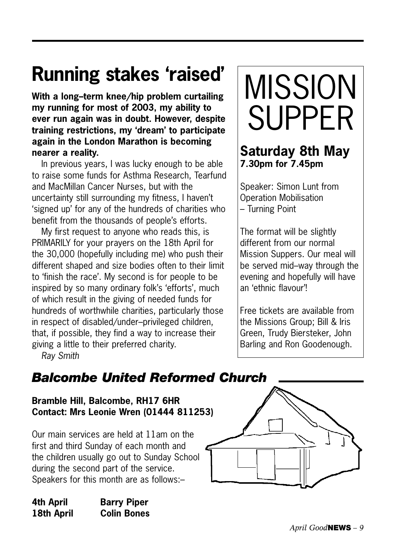## **Running stakes 'raised'**

**With a long–term knee/hip problem curtailing my running for most of 2003, my ability to ever run again was in doubt. However, despite training restrictions, my 'dream' to participate again in the London Marathon is becoming nearer a reality.**

In previous years, I was lucky enough to be able to raise some funds for Asthma Research, Tearfund and MacMillan Cancer Nurses, but with the uncertainty still surrounding my fitness, I haven't 'signed up' for any of the hundreds of charities who benefit from the thousands of people's efforts.

My first request to anyone who reads this, is PRIMARILY for your prayers on the 18th April for the 30,000 (hopefully including me) who push their different shaped and size bodies often to their limit to 'finish the race'. My second is for people to be inspired by so many ordinary folk's 'efforts', much of which result in the giving of needed funds for hundreds of worthwhile charities, particularly those in respect of disabled/under–privileged children, that, if possible, they find a way to increase their giving a little to their preferred charity.

*Ray Smith*

## MISSION SUPPER

### **Saturday 8th May 7.30pm for 7.45pm**

Speaker: Simon Lunt from Operation Mobilisation – Turning Point

The format will be slightly different from our normal Mission Suppers. Our meal will be served mid–way through the evening and hopefully will have an 'ethnic flavour'!

Free tickets are available from the Missions Group; Bill & Iris Green, Trudy Biersteker, John Barling and Ron Goodenough.

## *Balcombe United Reformed Church*

**Bramble Hill, Balcombe, RH17 6HR Contact: Mrs Leonie Wren (01444 811253)**

Our main services are held at 11am on the first and third Sunday of each month and the children usually go out to Sunday School during the second part of the service. Speakers for this month are as follows:–

**4th April Barry Piper 18th April Colin Bones**

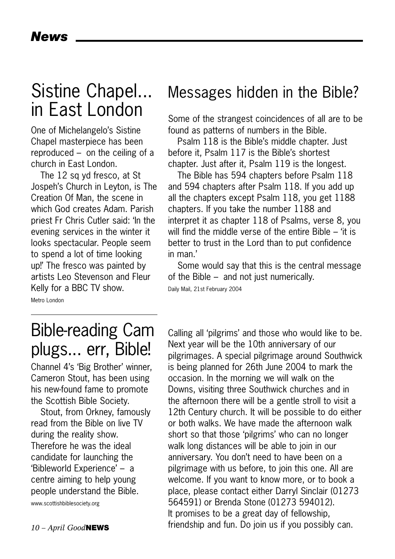## Sistine Chapel... in East London

One of Michelangelo's Sistine Chapel masterpiece has been reproduced – on the ceiling of a church in East London.

The 12 sq yd fresco, at St Jospeh's Church in Leyton, is The Creation Of Man, the scene in which God creates Adam. Parish priest Fr Chris Cutler said: 'In the evening services in the winter it looks spectacular. People seem to spend a lot of time looking up!' The fresco was painted by artists Leo Stevenson and Fleur Kelly for a BBC TV show.

## Messages hidden in the Bible?

Some of the strangest coincidences of all are to be found as patterns of numbers in the Bible.

Psalm 118 is the Bible's middle chapter. Just before it, Psalm 117 is the Bible's shortest chapter. Just after it, Psalm 119 is the longest.

The Bible has 594 chapters before Psalm 118 and 594 chapters after Psalm 118. If you add up all the chapters except Psalm 118, you get 1188 chapters. If you take the number 1188 and interpret it as chapter 118 of Psalms, verse 8, you will find the middle verse of the entire Bible – 'it is better to trust in the Lord than to put confidence in man.'

Some would say that this is the central message of the Bible – and not just numerically.

Daily Mail, 21st February 2004

Metro London

## Bible-reading Cam plugs... err, Bible!

Channel 4's 'Big Brother' winner, Cameron Stout, has been using his new-found fame to promote the Scottish Bible Society.

Stout, from Orkney, famously read from the Bible on live TV during the reality show. Therefore he was the ideal candidate for launching the 'Bibleworld Experience' – a centre aiming to help young people understand the Bible.

www.scottishbiblesociety.org

Calling all 'pilgrims' and those who would like to be. Next year will be the 10th anniversary of our pilgrimages. A special pilgrimage around Southwick is being planned for 26th June 2004 to mark the occasion. In the morning we will walk on the Downs, visiting three Southwick churches and in the afternoon there will be a gentle stroll to visit a 12th Century church. It will be possible to do either or both walks. We have made the afternoon walk short so that those 'pilgrims' who can no longer walk long distances will be able to join in our anniversary. You don't need to have been on a pilgrimage with us before, to join this one. All are welcome. If you want to know more, or to book a place, please contact either Darryl Sinclair (01273 564591) or Brenda Stone (01273 594012). It promises to be a great day of fellowship, friendship and fun. Do join us if you possibly can.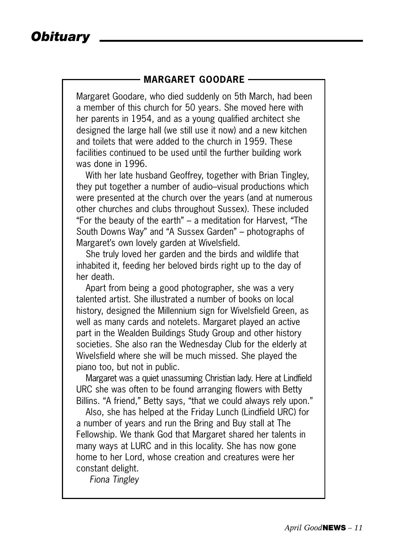#### **MARGARET GOODARE**

Margaret Goodare, who died suddenly on 5th March, had been a member of this church for 50 years. She moved here with her parents in 1954, and as a young qualified architect she designed the large hall (we still use it now) and a new kitchen and toilets that were added to the church in 1959. These facilities continued to be used until the further building work was done in 1996.

With her late husband Geoffrey, together with Brian Tingley, they put together a number of audio–visual productions which were presented at the church over the years (and at numerous other churches and clubs throughout Sussex). These included "For the beauty of the earth" – a meditation for Harvest, "The South Downs Way" and "A Sussex Garden" – photographs of Margaret's own lovely garden at Wivelsfield.

She truly loved her garden and the birds and wildlife that inhabited it, feeding her beloved birds right up to the day of her death.

Apart from being a good photographer, she was a very talented artist. She illustrated a number of books on local history, designed the Millennium sign for Wivelsfield Green, as well as many cards and notelets. Margaret played an active part in the Wealden Buildings Study Group and other history societies. She also ran the Wednesday Club for the elderly at Wivelsfield where she will be much missed. She played the piano too, but not in public.

Margaret was a quiet unassuming Christian lady. Here at Lindfield URC she was often to be found arranging flowers with Betty Billins. "A friend," Betty says, "that we could always rely upon."

Also, she has helped at the Friday Lunch (Lindfield URC) for a number of years and run the Bring and Buy stall at The Fellowship. We thank God that Margaret shared her talents in many ways at LURC and in this locality. She has now gone home to her Lord, whose creation and creatures were her constant delight.

*Fiona Tingley*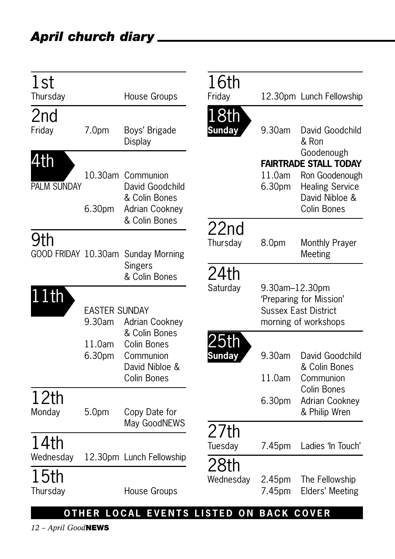| 1st<br>Thursday           |                            | House Groups                                                                                 | 16th<br>Friday                                                                               |                  | 12.30pm Lunch Fellowship                                                                                                |
|---------------------------|----------------------------|----------------------------------------------------------------------------------------------|----------------------------------------------------------------------------------------------|------------------|-------------------------------------------------------------------------------------------------------------------------|
| 2nd<br>Friday             | 7.0 <sub>pm</sub>          | Boys' Brigade<br><b>Display</b>                                                              | 18th<br><b>Sunday</b>                                                                        | 9.30am           | David Goodchild<br>& Ron                                                                                                |
| 4th<br><b>PALM SUNDAY</b> | 6.30pm                     | 10.30am Communion<br>David Goodchild<br>& Colin Bones<br>Adrian Cookney<br>& Colin Bones     |                                                                                              | 11.0am<br>6.30pm | Goodenough<br><b>FAIRTRADE STALL TODAY</b><br>Ron Goodenough<br><b>Healing Service</b><br>David Nibloe &<br>Colin Bones |
| 9th                       |                            | GOOD FRIDAY 10.30am Sunday Morning                                                           | 22nd<br>Thursday                                                                             | 8.0pm            | <b>Monthly Prayer</b><br>Meeting                                                                                        |
| 11th                      | <b>EASTER SUNDAY</b>       | Singers<br>& Colin Bones                                                                     | 24th<br>Saturday<br>9.30am-12.30pm<br>'Preparing for Mission'<br><b>Sussex East District</b> |                  |                                                                                                                         |
|                           | 9.30am<br>11.0am<br>6.30pm | Adrian Cookney<br>& Colin Bones<br>Colin Bones<br>Communion<br>David Nibloe &<br>Colin Bones | 'bth<br>Sunday                                                                               | 9.30am<br>11.0am | morning of workshops<br>David Goodchild<br>& Colin Bones<br>Communion                                                   |
| 12th<br>Monday            | 5.0pm                      | Copy Date for<br>May GoodNEWS                                                                |                                                                                              | 6.30pm           | <b>Colin Bones</b><br>Adrian Cookney<br>& Philip Wren                                                                   |
| 14th<br>Wednesday         |                            | 12.30pm Lunch Fellowship                                                                     | 27th<br>Tuesday                                                                              | 7.45pm           | Ladies 'In Touch'                                                                                                       |
| 15th<br>Thursday          |                            | House Groups                                                                                 | 28th<br>Wednesday                                                                            | 2.45pm<br>7.45pm | The Fellowship<br><b>Elders' Meeting</b>                                                                                |
|                           |                            | OTHER LOCAL EVENTS LISTED ON BACK COVER                                                      |                                                                                              |                  |                                                                                                                         |

*12 – April Good***NEWS**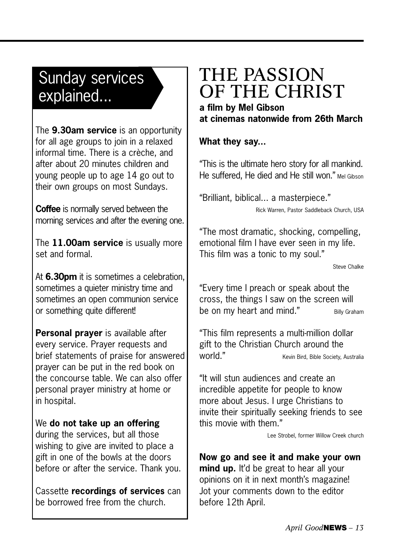## Sunday services explained...

The **9.30am service** is an opportunity for all age groups to join in a relaxed informal time. There is a crèche, and after about 20 minutes children and young people up to age 14 go out to their own groups on most Sundays.

**Coffee** is normally served between the morning services and after the evening one.

The **11.00am service** is usually more set and formal.

At **6.30pm** it is sometimes a celebration, sometimes a quieter ministry time and sometimes an open communion service or something quite different!

**Personal prayer** is available after every service. Prayer requests and brief statements of praise for answered prayer can be put in the red book on the concourse table. We can also offer personal prayer ministry at home or in hospital.

#### We **do not take up an offering**

during the services, but all those wishing to give are invited to place a gift in one of the bowls at the doors before or after the service. Thank you.

Cassette **recordings of services** can be borrowed free from the church.

## THE PASSION OF THE CHRIST **a film by Mel Gibson**

**at cinemas natonwide from 26th March** 

#### **What they say...**

"This is the ultimate hero story for all mankind. He suffered. He died and He still won." Mel Gibson

"Brilliant, biblical... a masterpiece."

Rick Warren, Pastor Saddleback Church, USA

"The most dramatic, shocking, compelling, emotional film I have ever seen in my life. This film was a tonic to my soul."

Steve Chalke

"Every time I preach or speak about the cross, the things I saw on the screen will be on my heart and mind." Billy Graham

"This film represents a multi-million dollar gift to the Christian Church around the WOrld." Kevin Bird, Bible Society, Australia

"It will stun audiences and create an incredible appetite for people to know more about Jesus. I urge Christians to invite their spiritually seeking friends to see this movie with them"

Lee Strobel, former Willow Creek church

**Now go and see it and make your own mind up.** It'd be great to hear all your opinions on it in next month's magazine! Jot your comments down to the editor before 12th April.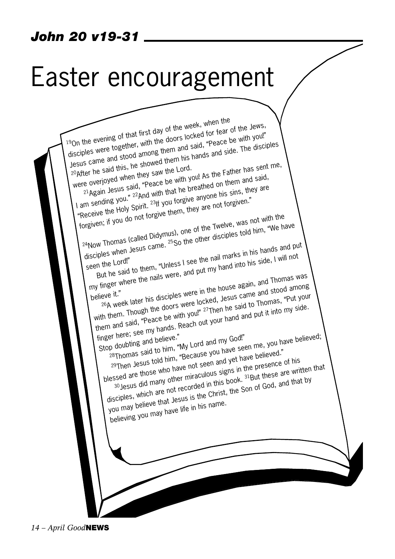### *John 20 v19-31*

## Easter encouragement

19On the evening of that first day of the week, when the disciples were together, with the doors locked for fear of the Jews, Jesus came and stood among them and said, "Peace be with you!" 20After he said this, he showed them his hands and side. The disciples were overjoyed when they saw the Lord. 21 Again Jesus said, "Peace be with you! As the Father has sent me, I am sending you." <sup>22</sup>And with that he breathed on them and said, e and synality you. This was one of the working of the Sins, they are "Receive the Holy Spirit. 23H you forgive anyone his sins, they are forgiven; if you do not forgive them, they are not forgiven." 24Now Thomas (called Didymus), one of the Twelve, was not with the disciples when Jesus came. 25So the other disciples told him, "We have disciples when Jesus came. 25So the other disciples told him, "We have disciples when Jesus came. 25So the other disciples told him, "We have seen the Lord!"<br>
Seen the Lord!"<br>
But he said to them, "Unless I see the nail marks in the side, I will not<br>
my finger where the nails were, and put my hand into his side, I will not<br>
in the house again, and Thomas v But he said to them, "Unless I see the nail marks in his hands and put my finger with them.<br>
believe it."<br>  $^{26}A$  week later his disciples were locked, Jesus came and stood among<br>  $^{26}A$  week later his disciples were locked, Jesus came and stood among<br>
with them. The moase be with you!"  $^{$ believe it."<br><sup>26</sup>A week later his disciples were in the house again, and Thomas was<br><sup>26</sup>A week later his disciples were locked, Jesus came and stood among them and said, "Peace be with you!" 27Then he said to Thomas, "Put your them and said, "Peace be with you!" 27Then he said to Thomas, "Put your them and said, "Peace be with you!" 27Then he said to Thomas, "Put your them a finger here; see my hands. Reach out your hand and put it into my side. Stop doubting and believe." Explorer, see the believe."<br>
28Thomas said to him, "My Lord and my God!"<br>
28Thomas said to him, "Because you have seen me, you have believed."<br>
29Then Jesus told him, "Because you have thave believed."<br>
29Then Jesus told blessed are those who have not seen and yet have believed." 30 Jesus did many other miraculous signs in the presence of his disciples, which are not recorded in this book. 31But these are written that disciples, which are not recorded in this book. you may believe that Jesus is the Christ, the Son of God, and that by believing you may have life in his name.

*14 – April Good***NEWS**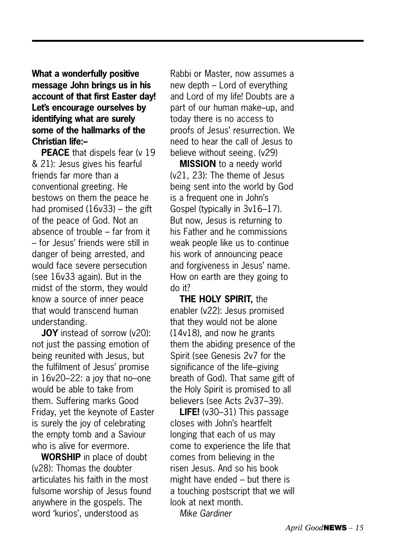**What a wonderfully positive message John brings us in his account of that first Easter day! Let's encourage ourselves by identifying what are surely some of the hallmarks of the Christian life:–**

**PEACE** that dispels fear (v 19) & 21): Jesus gives his fearful friends far more than a conventional greeting. He bestows on them the peace he had promised (16v33) – the gift of the peace of God. Not an absence of trouble – far from it – for Jesus' friends were still in danger of being arrested, and would face severe persecution (see 16v33 again). But in the midst of the storm, they would know a source of inner peace that would transcend human understanding.

**JOY** instead of sorrow (v20): not just the passing emotion of being reunited with Jesus, but the fulfilment of Jesus' promise in 16v20–22: a joy that no–one would be able to take from them. Suffering marks Good Friday, yet the keynote of Easter is surely the joy of celebrating the empty tomb and a Saviour who is alive for evermore.

**WORSHIP** in place of doubt (v28): Thomas the doubter articulates his faith in the most fulsome worship of Jesus found anywhere in the gospels. The word 'kurios', understood as

Rabbi or Master, now assumes a new depth – Lord of everything and Lord of my life! Doubts are a part of our human make–up, and today there is no access to proofs of Jesus' resurrection. We need to hear the call of Jesus to believe without seeing. (v29)

**MISSION** to a needy world (v21, 23): The theme of Jesus being sent into the world by God is a frequent one in John's Gospel (typically in 3v16–17). But now, Jesus is returning to his Father and he commissions weak people like us to continue his work of announcing peace and forgiveness in Jesus' name. How on earth are they going to do it?

**THE HOLY SPIRIT,** the enabler (v22): Jesus promised that they would not be alone (14v18), and now he grants them the abiding presence of the Spirit (see Genesis 2v7 for the significance of the life–giving breath of God). That same gift of the Holy Spirit is promised to all believers (see Acts 2v37–39).

**LIFE!** (v30–31) This passage closes with John's heartfelt longing that each of us may come to experience the life that comes from believing in the risen Jesus. And so his book might have ended – but there is a touching postscript that we will look at next month. *Mike Gardiner*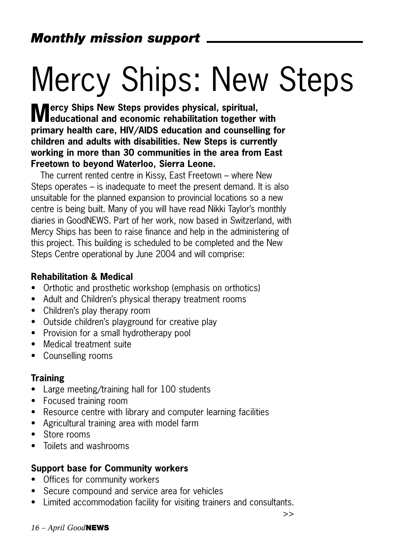## Mercy Ships: New Steps

**Mercy Ships New Steps provides physical, spiritual, educational and economic rehabilitation together with primary health care, HIV/AIDS education and counselling for children and adults with disabilities. New Steps is currently working in more than 30 communities in the area from East Freetown to beyond Waterloo, Sierra Leone.** 

The current rented centre in Kissy, East Freetown – where New Steps operates – is inadequate to meet the present demand. It is also unsuitable for the planned expansion to provincial locations so a new centre is being built. Many of you will have read Nikki Taylor's monthly diaries in GoodNEWS. Part of her work, now based in Switzerland, with Mercy Ships has been to raise finance and help in the administering of this project. This building is scheduled to be completed and the New Steps Centre operational by June 2004 and will comprise:

#### **Rehabilitation & Medical**

- Orthotic and prosthetic workshop (emphasis on orthotics)
- Adult and Children's physical therapy treatment rooms
- Children's play therapy room
- Outside children's playground for creative play
- Provision for a small hydrotherapy pool
- Medical treatment suite
- Counselling rooms

#### **Training**

- Large meeting/training hall for 100 students
- Focused training room
- Resource centre with library and computer learning facilities
- Agricultural training area with model farm
- Store rooms
- Toilets and washrooms

#### **Support base for Community workers**

- Offices for community workers
- Secure compound and service area for vehicles
- Limited accommodation facility for visiting trainers and consultants.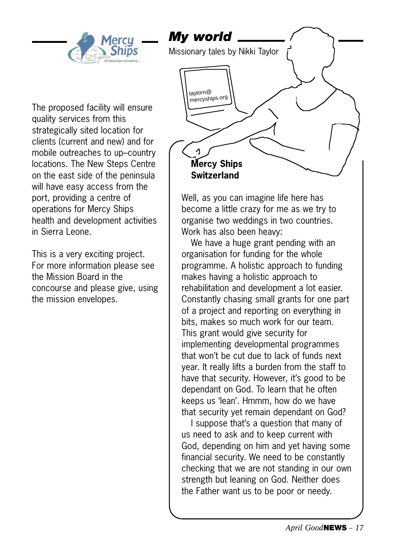

The proposed facility will ensure quality services from this strategically sited location for clients (current and new) and for mobile outreaches to up–country locations. The New Steps Centre on the east side of the peninsula will have easy access from the port, providing a centre of operations for Mercy Ships health and development activities in Sierra Leone.

This is a very exciting project. For more information please see the Mission Board in the concourse and please give, using the mission envelopes.



Well, as you can imagine life here has become a little crazy for me as we try to organise two weddings in two countries. Work has also been heavy:

We have a huge grant pending with an organisation for funding for the whole programme. A holistic approach to funding makes having a holistic approach to rehabilitation and development a lot easier. Constantly chasing small grants for one part of a project and reporting on everything in bits, makes so much work for our team. This grant would give security for implementing developmental programmes that won't be cut due to lack of funds next year. It really lifts a burden from the staff to have that security. However, it's good to be dependant on God. To learn that he often keeps us 'lean'. Hmmm, how do we have that security yet remain dependant on God?

I suppose that's a question that many of us need to ask and to keep current with God, depending on him and yet having some financial security. We need to be constantly checking that we are not standing in our own strength but leaning on God. Neither does the Father want us to be poor or needy.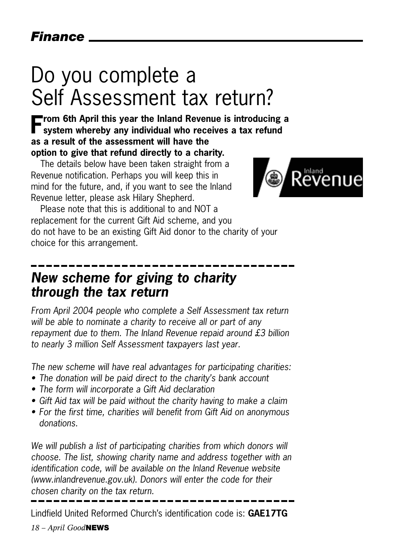## Do you complete a Self Assessment tax return?

**From 6th April this year the Inland Revenue is introducing a system whereby any individual who receives a tax refund as a result of the assessment will have the option to give that refund directly to a charity.**

The details below have been taken straight from a Revenue notification. Perhaps you will keep this in mind for the future, and, if you want to see the Inland Revenue letter, please ask Hilary Shepherd.



Please note that this is additional to and NOT a replacement for the current Gift Aid scheme, and you do not have to be an existing Gift Aid donor to the charity of your choice for this arrangement.

## *New scheme for giving to charity through the tax return*

*From April 2004 people who complete a Self Assessment tax return will be able to nominate a charity to receive all or part of any repayment due to them. The Inland Revenue repaid around £3 billion to nearly 3 million Self Assessment taxpayers last year.*

*The new scheme will have real advantages for participating charities:*

- *The donation will be paid direct to the charity's bank account*
- *The form will incorporate a Gift Aid declaration*
- *Gift Aid tax will be paid without the charity having to make a claim*
- *For the first time, charities will benefit from Gift Aid on anonymous donations.*

*We will publish a list of participating charities from which donors will choose. The list, showing charity name and address together with an identification code, will be available on the Inland Revenue website (www.inlandrevenue.gov.uk). Donors will enter the code for their chosen charity on the tax return.*

Lindfield United Reformed Church's identification code is: **GAE17TG**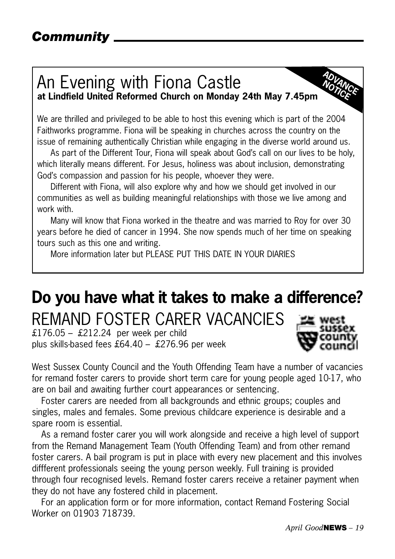#### An Evening with Fiona Castle **at Lindfield United Reformed Church on Monday 24th May 7.45pm ADVANCE** NOTICE

We are thrilled and privileged to be able to host this evening which is part of the 2004 Faithworks programme. Fiona will be speaking in churches across the country on the issue of remaining authentically Christian while engaging in the diverse world around us.

As part of the Different Tour, Fiona will speak about God's call on our lives to be holy, which literally means different. For Jesus, holiness was about inclusion, demonstrating God's compassion and passion for his people, whoever they were.

Different with Fiona, will also explore why and how we should get involved in our communities as well as building meaningful relationships with those we live among and work with.

Many will know that Fiona worked in the theatre and was married to Roy for over 30 years before he died of cancer in 1994. She now spends much of her time on speaking tours such as this one and writing.

More information later but PLEASE PUT THIS DATE IN YOUR DIARIES

## **Do you have what it takes to make a difference?** REMAND FOSTER CARER VACANCIES

£176.05 – £212.24 per week per child plus skills-based fees £64.40 – £276.96 per week



West Sussex County Council and the Youth Offending Team have a number of vacancies for remand foster carers to provide short term care for young people aged 10-17, who are on bail and awaiting further court appearances or sentencing.

Foster carers are needed from all backgrounds and ethnic groups; couples and singles, males and females. Some previous childcare experience is desirable and a spare room is essential.

As a remand foster carer you will work alongside and receive a high level of support from the Remand Management Team (Youth Offending Team) and from other remand foster carers. A bail program is put in place with every new placement and this involves diffferent professionals seeing the young person weekly. Full training is provided through four recognised levels. Remand foster carers receive a retainer payment when they do not have any fostered child in placement.

For an application form or for more information, contact Remand Fostering Social Worker on 01903 718739.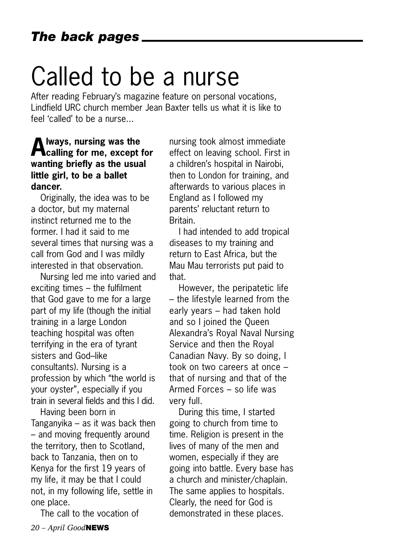## Called to be a nurse

After reading February's magazine feature on personal vocations, Lindfield URC church member Jean Baxter tells us what it is like to feel 'called' to be a nurse...

### **Always, nursing was the calling for me, except for wanting briefly as the usual little girl, to be a ballet dancer.**

Originally, the idea was to be a doctor, but my maternal instinct returned me to the former. I had it said to me several times that nursing was a call from God and I was mildly interested in that observation.

Nursing led me into varied and exciting times – the fulfilment that God gave to me for a large part of my life (though the initial training in a large London teaching hospital was often terrifying in the era of tyrant sisters and God–like consultants). Nursing is a profession by which "the world is your oyster", especially if you train in several fields and this I did.

Having been born in Tanganyika – as it was back then – and moving frequently around the territory, then to Scotland, back to Tanzania, then on to Kenya for the first 19 years of my life, it may be that I could not, in my following life, settle in one place.

The call to the vocation of

nursing took almost immediate effect on leaving school. First in a children's hospital in Nairobi, then to London for training, and afterwards to various places in England as I followed my parents' reluctant return to **Britain** 

I had intended to add tropical diseases to my training and return to East Africa, but the Mau Mau terrorists put paid to that.

However, the peripatetic life – the lifestyle learned from the early years – had taken hold and so I joined the Queen Alexandra's Royal Naval Nursing Service and then the Royal Canadian Navy. By so doing, I took on two careers at once – that of nursing and that of the Armed Forces – so life was very full.

During this time, I started going to church from time to time. Religion is present in the lives of many of the men and women, especially if they are going into battle. Every base has a church and minister/chaplain. The same applies to hospitals. Clearly, the need for God is demonstrated in these places.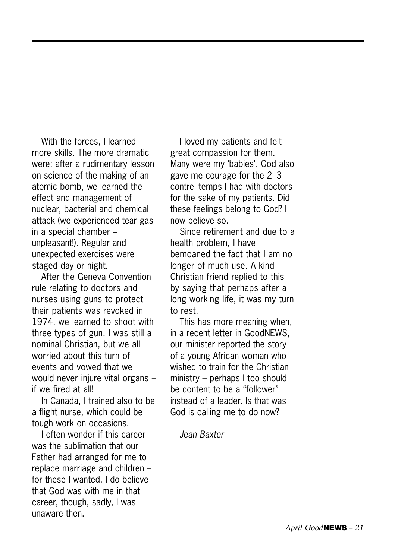With the forces, I learned more skills. The more dramatic were: after a rudimentary lesson on science of the making of an atomic bomb, we learned the effect and management of nuclear, bacterial and chemical attack (we experienced tear gas in a special chamber – unpleasant!). Regular and unexpected exercises were staged day or night.

After the Geneva Convention rule relating to doctors and nurses using guns to protect their patients was revoked in 1974, we learned to shoot with three types of gun. I was still a nominal Christian, but we all worried about this turn of events and vowed that we would never injure vital organs – if we fired at all!

In Canada, I trained also to be a flight nurse, which could be tough work on occasions.

I often wonder if this career was the sublimation that our Father had arranged for me to replace marriage and children – for these I wanted. I do believe that God was with me in that career, though, sadly, I was unaware then.

I loved my patients and felt great compassion for them. Many were my 'babies'. God also gave me courage for the 2–3 contre–temps I had with doctors for the sake of my patients. Did these feelings belong to God? I now believe so.

Since retirement and due to a health problem, I have bemoaned the fact that I am no longer of much use. A kind Christian friend replied to this by saying that perhaps after a long working life, it was my turn to rest.

This has more meaning when, in a recent letter in GoodNEWS, our minister reported the story of a young African woman who wished to train for the Christian ministry – perhaps I too should be content to be a "follower" instead of a leader. Is that was God is calling me to do now?

*Jean Baxter*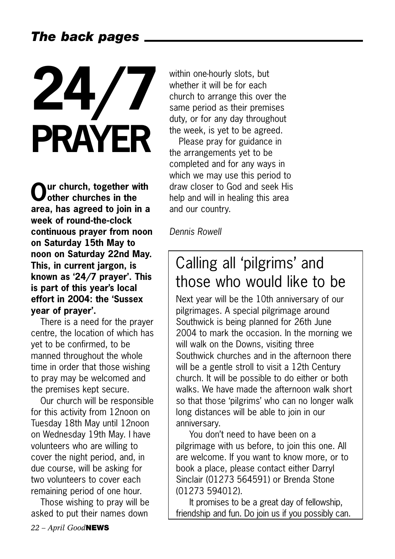## *The back pages*

# **24/7 PRAYER**

**Our church, together with other churches in the area, has agreed to join in a week of round-the-clock continuous prayer from noon on Saturday 15th May to noon on Saturday 22nd May. This, in current jargon, is known as '24/7 prayer'. This is part of this year's local effort in 2004: the 'Sussex year of prayer'.**

There is a need for the prayer centre, the location of which has yet to be confirmed, to be manned throughout the whole time in order that those wishing to pray may be welcomed and the premises kept secure.

Our church will be responsible for this activity from 12noon on Tuesday 18th May until 12noon on Wednesday 19th May. I have volunteers who are willing to cover the night period, and, in due course, will be asking for two volunteers to cover each remaining period of one hour.

Those wishing to pray will be asked to put their names down

within one-hourly slots, but whether it will be for each church to arrange this over the same period as their premises duty, or for any day throughout the week, is yet to be agreed.

Please pray for guidance in the arrangements yet to be completed and for any ways in which we may use this period to draw closer to God and seek His help and will in healing this area and our country.

*Dennis Rowell*

## Calling all 'pilgrims' and those who would like to be

Next year will be the 10th anniversary of our pilgrimages. A special pilgrimage around Southwick is being planned for 26th June 2004 to mark the occasion. In the morning we will walk on the Downs, visiting three Southwick churches and in the afternoon there will be a gentle stroll to visit a 12th Century church. It will be possible to do either or both walks. We have made the afternoon walk short so that those 'pilgrims' who can no longer walk long distances will be able to join in our anniversary.

You don't need to have been on a pilgrimage with us before, to join this one. All are welcome. If you want to know more, or to book a place, please contact either Darryl Sinclair (01273 564591) or Brenda Stone (01273 594012).

It promises to be a great day of fellowship, friendship and fun. Do join us if you possibly can.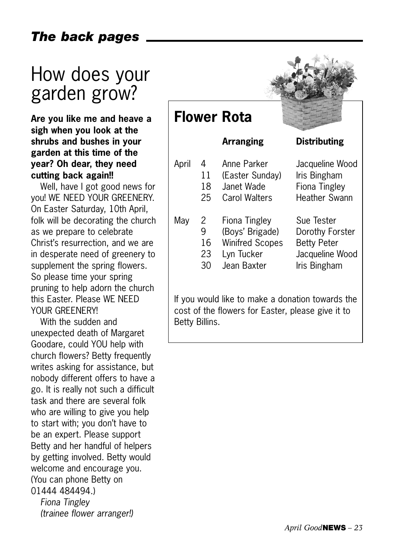## *The back pages*

## How does your garden grow?

**Are you like me and heave a sigh when you look at the shrubs and bushes in your garden at this time of the year? Oh dear, they need cutting back again!!** 

Well, have I got good news for you! WE NEED YOUR GREENERY. On Easter Saturday, 10th April, folk will be decorating the church as we prepare to celebrate Christ's resurrection, and we are in desperate need of greenery to supplement the spring flowers. So please time your spring pruning to help adorn the church this Easter. Please WE NEED YOUR GREENERY!

With the sudden and unexpected death of Margaret Goodare, could YOU help with church flowers? Betty frequently writes asking for assistance, but nobody different offers to have a go. It is really not such a difficult task and there are several folk who are willing to give you help to start with; you don't have to be an expert. Please support Betty and her handful of helpers by getting involved. Betty would welcome and encourage you. (You can phone Betty on 01444 484494.)

*Fiona Tingley (trainee flower arranger!)* 

| <b>Flower Rota</b>                               |                          |                                                                                         |                                                                                        |  |
|--------------------------------------------------|--------------------------|-----------------------------------------------------------------------------------------|----------------------------------------------------------------------------------------|--|
|                                                  |                          | <b>Arranging</b>                                                                        | <b>Distributing</b>                                                                    |  |
| April                                            | 4<br>11<br>18<br>25      | Anne Parker<br>(Easter Sunday)<br>Janet Wade<br>Carol Walters                           | Jacqueline Wood<br>Iris Bingham<br>Fiona Tingley<br>Heather Swann                      |  |
| May                                              | 2<br>9<br>16<br>23<br>30 | Fiona Tingley<br>(Boys' Brigade)<br><b>Winifred Scopes</b><br>Lyn Tucker<br>Jean Baxter | Sue Tester<br>Dorothy Forster<br><b>Betty Peter</b><br>Jacqueline Wood<br>Iris Bingham |  |
| If you would like to make a donation towards the |                          |                                                                                         |                                                                                        |  |

 $\bullet$  +  $\%$ 

cost of the flowers for Easter, please give it to Betty Billins.